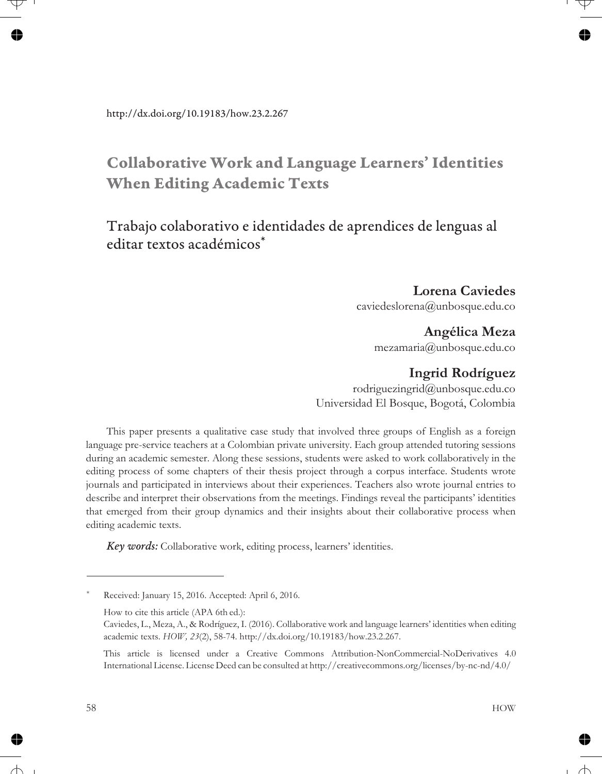# **Collaborative Work and Language Learners' Identities When Editing Academic Texts**

### Trabajo colaborativo e identidades de aprendices de lenguas al editar textos académicos\*

**Lorena Caviedes** caviedeslorena@unbosque.edu.co

### **Angélica Meza**

mezamaria@unbosque.edu.co

### **Ingrid Rodríguez**

rodriguezingrid@unbosque.edu.co Universidad El Bosque, Bogotá, Colombia

This paper presents a qualitative case study that involved three groups of English as a foreign language pre-service teachers at a Colombian private university. Each group attended tutoring sessions during an academic semester. Along these sessions, students were asked to work collaboratively in the editing process of some chapters of their thesis project through a corpus interface. Students wrote journals and participated in interviews about their experiences. Teachers also wrote journal entries to describe and interpret their observations from the meetings. Findings reveal the participants' identities that emerged from their group dynamics and their insights about their collaborative process when editing academic texts.

*Key words:* Collaborative work, editing process, learners' identities.

Received: January 15, 2016. Accepted: April 6, 2016.

How to cite this article (APA 6th ed.):

Caviedes, L., Meza, A., & Rodríguez, I. (2016). Collaborative work and language learners' identities when editing academic texts. *HOW, 23*(2), 58-74. http://dx.doi.org/10.19183/how.23.2.267.

This article is licensed under a Creative Commons Attribution-NonCommercial-NoDerivatives 4.0 International License. License Deed can be consulted at http://creativecommons.org/licenses/by-nc-nd/4.0/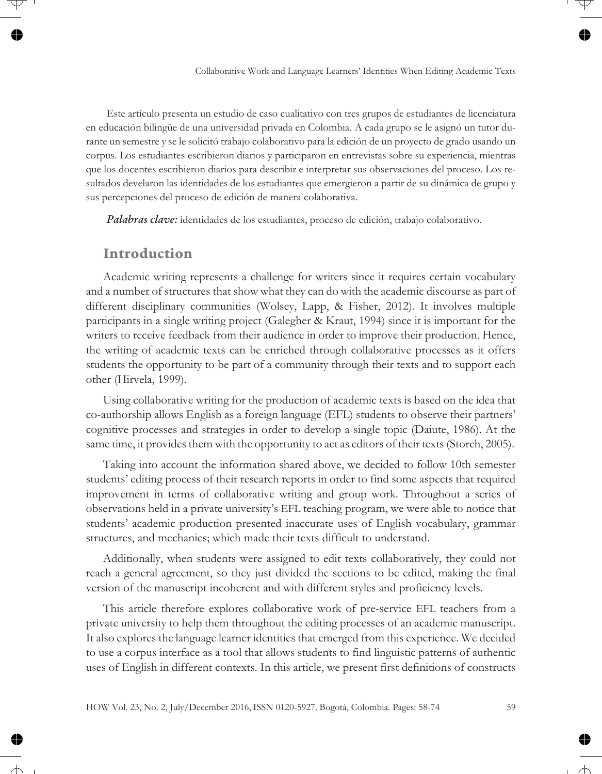Este artículo presenta un estudio de caso cualitativo con tres grupos de estudiantes de licenciatura en educación bilingüe de una universidad privada en Colombia. A cada grupo se le asignó un tutor durante un semestre y se le solicitó trabajo colaborativo para la edición de un proyecto de grado usando un corpus. Los estudiantes escribieron diarios y participaron en entrevistas sobre su experiencia, mientras que los docentes escribieron diarios para describir e interpretar sus observaciones del proceso. Los resultados develaron las identidades de los estudiantes que emergieron a partir de su dinámica de grupo y sus percepciones del proceso de edición de manera colaborativa.

*Palabras clave:* identidades de los estudiantes, proceso de edición, trabajo colaborativo.

#### **Introduction**

Academic writing represents a challenge for writers since it requires certain vocabulary and a number of structures that show what they can do with the academic discourse as part of different disciplinary communities (Wolsey, Lapp, & Fisher, 2012). It involves multiple participants in a single writing project (Galegher & Kraut, 1994) since it is important for the writers to receive feedback from their audience in order to improve their production. Hence, the writing of academic texts can be enriched through collaborative processes as it offers students the opportunity to be part of a community through their texts and to support each other (Hirvela, 1999).

Using collaborative writing for the production of academic texts is based on the idea that co-authorship allows English as a foreign language (EFL) students to observe their partners' cognitive processes and strategies in order to develop a single topic (Daiute, 1986). At the same time, it provides them with the opportunity to act as editors of their texts (Storch, 2005).

Taking into account the information shared above, we decided to follow 10th semester students' editing process of their research reports in order to find some aspects that required improvement in terms of collaborative writing and group work. Throughout a series of observations held in a private university's EFL teaching program, we were able to notice that students' academic production presented inaccurate uses of English vocabulary, grammar structures, and mechanics; which made their texts difficult to understand.

Additionally, when students were assigned to edit texts collaboratively, they could not reach a general agreement, so they just divided the sections to be edited, making the final version of the manuscript incoherent and with different styles and proficiency levels.

This article therefore explores collaborative work of pre-service EFL teachers from a private university to help them throughout the editing processes of an academic manuscript. It also explores the language learner identities that emerged from this experience. We decided to use a corpus interface as a tool that allows students to find linguistic patterns of authentic uses of English in different contexts. In this article, we present first definitions of constructs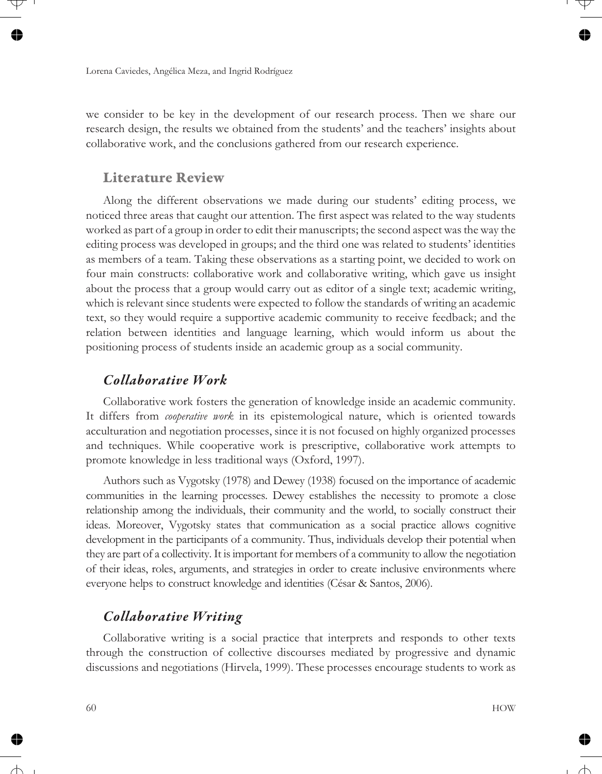we consider to be key in the development of our research process. Then we share our research design, the results we obtained from the students' and the teachers' insights about collaborative work, and the conclusions gathered from our research experience.

### **Literature Review**

Along the different observations we made during our students' editing process, we noticed three areas that caught our attention. The first aspect was related to the way students worked as part of a group in order to edit their manuscripts; the second aspect was the way the editing process was developed in groups; and the third one was related to students' identities as members of a team. Taking these observations as a starting point, we decided to work on four main constructs: collaborative work and collaborative writing, which gave us insight about the process that a group would carry out as editor of a single text; academic writing, which is relevant since students were expected to follow the standards of writing an academic text, so they would require a supportive academic community to receive feedback; and the relation between identities and language learning, which would inform us about the positioning process of students inside an academic group as a social community.

### *Collaborative Work*

Collaborative work fosters the generation of knowledge inside an academic community. It differs from *cooperative work* in its epistemological nature, which is oriented towards acculturation and negotiation processes, since it is not focused on highly organized processes and techniques. While cooperative work is prescriptive, collaborative work attempts to promote knowledge in less traditional ways (Oxford, 1997).

Authors such as Vygotsky (1978) and Dewey (1938) focused on the importance of academic communities in the learning processes. Dewey establishes the necessity to promote a close relationship among the individuals, their community and the world, to socially construct their ideas. Moreover, Vygotsky states that communication as a social practice allows cognitive development in the participants of a community. Thus, individuals develop their potential when they are part of a collectivity. It is important for members of a community to allow the negotiation of their ideas, roles, arguments, and strategies in order to create inclusive environments where everyone helps to construct knowledge and identities (César & Santos, 2006).

### *Collaborative Writing*

Collaborative writing is a social practice that interprets and responds to other texts through the construction of collective discourses mediated by progressive and dynamic discussions and negotiations (Hirvela, 1999). These processes encourage students to work as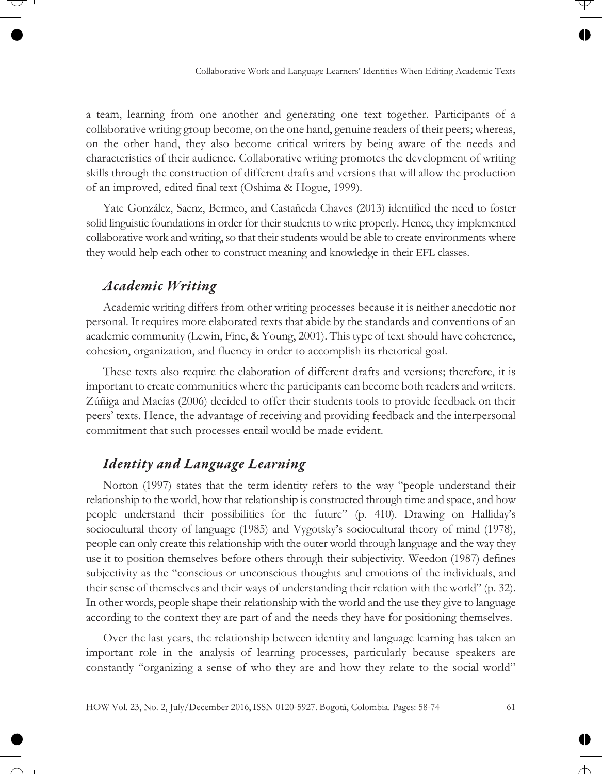a team, learning from one another and generating one text together. Participants of a collaborative writing group become, on the one hand, genuine readers of their peers; whereas, on the other hand, they also become critical writers by being aware of the needs and characteristics of their audience. Collaborative writing promotes the development of writing skills through the construction of different drafts and versions that will allow the production of an improved, edited final text (Oshima & Hogue, 1999).

Yate González, Saenz, Bermeo, and Castañeda Chaves (2013) identified the need to foster solid linguistic foundations in order for their students to write properly. Hence, they implemented collaborative work and writing, so that their students would be able to create environments where they would help each other to construct meaning and knowledge in their EFL classes.

#### *Academic Writing*

Academic writing differs from other writing processes because it is neither anecdotic nor personal. It requires more elaborated texts that abide by the standards and conventions of an academic community (Lewin, Fine, & Young, 2001). This type of text should have coherence, cohesion, organization, and fluency in order to accomplish its rhetorical goal.

These texts also require the elaboration of different drafts and versions; therefore, it is important to create communities where the participants can become both readers and writers. Zúñiga and Macías (2006) decided to offer their students tools to provide feedback on their peers' texts. Hence, the advantage of receiving and providing feedback and the interpersonal commitment that such processes entail would be made evident.

### *Identity and Language Learning*

Norton (1997) states that the term identity refers to the way "people understand their relationship to the world, how that relationship is constructed through time and space, and how people understand their possibilities for the future" (p. 410). Drawing on Halliday's sociocultural theory of language (1985) and Vygotsky's sociocultural theory of mind (1978), people can only create this relationship with the outer world through language and the way they use it to position themselves before others through their subjectivity. Weedon (1987) defines subjectivity as the "conscious or unconscious thoughts and emotions of the individuals, and their sense of themselves and their ways of understanding their relation with the world" (p. 32). In other words, people shape their relationship with the world and the use they give to language according to the context they are part of and the needs they have for positioning themselves.

Over the last years, the relationship between identity and language learning has taken an important role in the analysis of learning processes, particularly because speakers are constantly "organizing a sense of who they are and how they relate to the social world"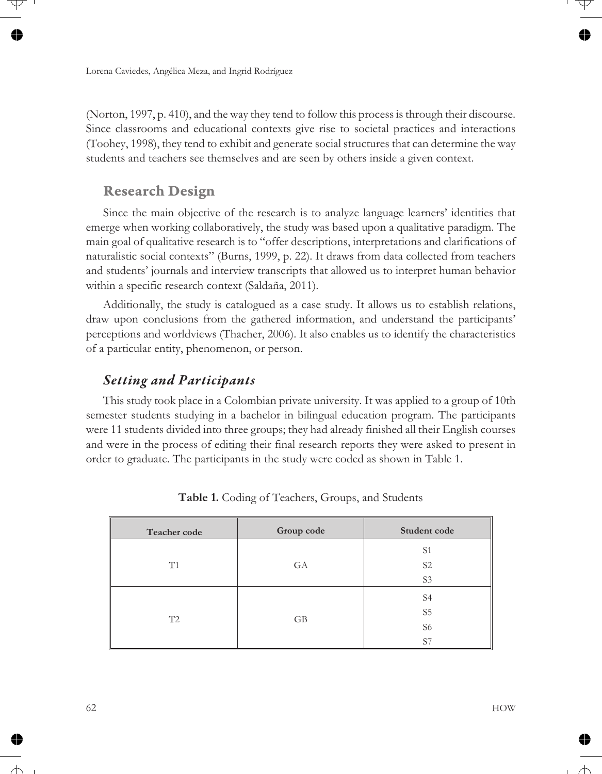(Norton, 1997, p. 410), and the way they tend to follow this process is through their discourse. Since classrooms and educational contexts give rise to societal practices and interactions (Toohey, 1998), they tend to exhibit and generate social structures that can determine the way students and teachers see themselves and are seen by others inside a given context.

### **Research Design**

Since the main objective of the research is to analyze language learners' identities that emerge when working collaboratively, the study was based upon a qualitative paradigm. The main goal of qualitative research is to "offer descriptions, interpretations and clarifications of naturalistic social contexts" (Burns, 1999, p. 22). It draws from data collected from teachers and students' journals and interview transcripts that allowed us to interpret human behavior within a specific research context (Saldaña, 2011).

Additionally, the study is catalogued as a case study. It allows us to establish relations, draw upon conclusions from the gathered information, and understand the participants' perceptions and worldviews (Thacher, 2006). It also enables us to identify the characteristics of a particular entity, phenomenon, or person.

### *Setting and Participants*

This study took place in a Colombian private university. It was applied to a group of 10th semester students studying in a bachelor in bilingual education program. The participants were 11 students divided into three groups; they had already finished all their English courses and were in the process of editing their final research reports they were asked to present in order to graduate. The participants in the study were coded as shown in Table 1.

| Teacher code | Group code | Student code   |
|--------------|------------|----------------|
| T1           |            | S <sub>1</sub> |
|              | GA         | S <sub>2</sub> |
|              |            | S <sub>3</sub> |
| T2           |            | S4             |
|              | GB         | S <sub>5</sub> |
|              |            | S <sub>6</sub> |
|              |            | S7             |

**Table 1.** Coding of Teachers, Groups, and Students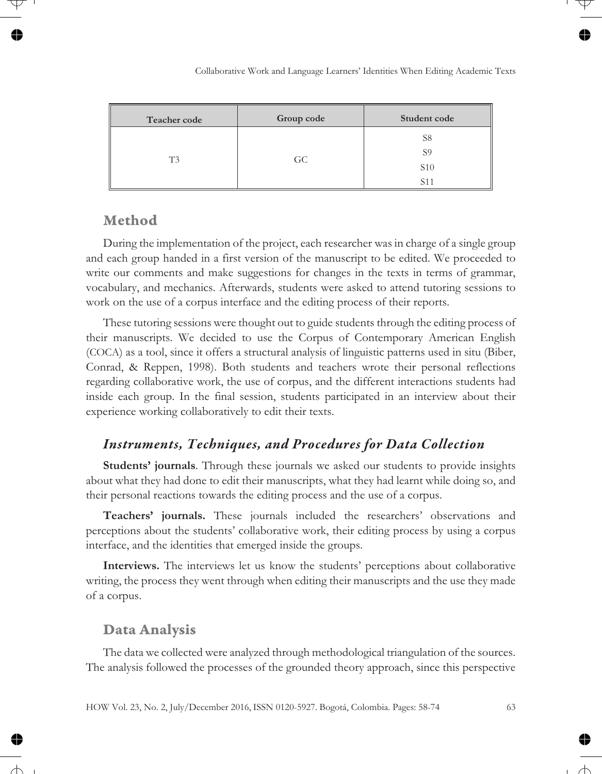| <b>Teacher code</b> | Group code | Student code                                          |
|---------------------|------------|-------------------------------------------------------|
| T3                  | GC.        | S8<br>S <sub>9</sub><br><b>S10</b><br>S <sub>11</sub> |

### **Method**

During the implementation of the project, each researcher was in charge of a single group and each group handed in a first version of the manuscript to be edited. We proceeded to write our comments and make suggestions for changes in the texts in terms of grammar, vocabulary, and mechanics. Afterwards, students were asked to attend tutoring sessions to work on the use of a corpus interface and the editing process of their reports.

These tutoring sessions were thought out to guide students through the editing process of their manuscripts. We decided to use the Corpus of Contemporary American English (COCA) as a tool, since it offers a structural analysis of linguistic patterns used in situ (Biber, Conrad, & Reppen, 1998). Both students and teachers wrote their personal reflections regarding collaborative work, the use of corpus, and the different interactions students had inside each group. In the final session, students participated in an interview about their experience working collaboratively to edit their texts.

#### *Instruments, Techniques, and Procedures for Data Collection*

**Students' journals**. Through these journals we asked our students to provide insights about what they had done to edit their manuscripts, what they had learnt while doing so, and their personal reactions towards the editing process and the use of a corpus.

**Teachers' journals.** These journals included the researchers' observations and perceptions about the students' collaborative work, their editing process by using a corpus interface, and the identities that emerged inside the groups.

**Interviews.** The interviews let us know the students' perceptions about collaborative writing, the process they went through when editing their manuscripts and the use they made of a corpus.

#### **Data Analysis**

The data we collected were analyzed through methodological triangulation of the sources. The analysis followed the processes of the grounded theory approach, since this perspective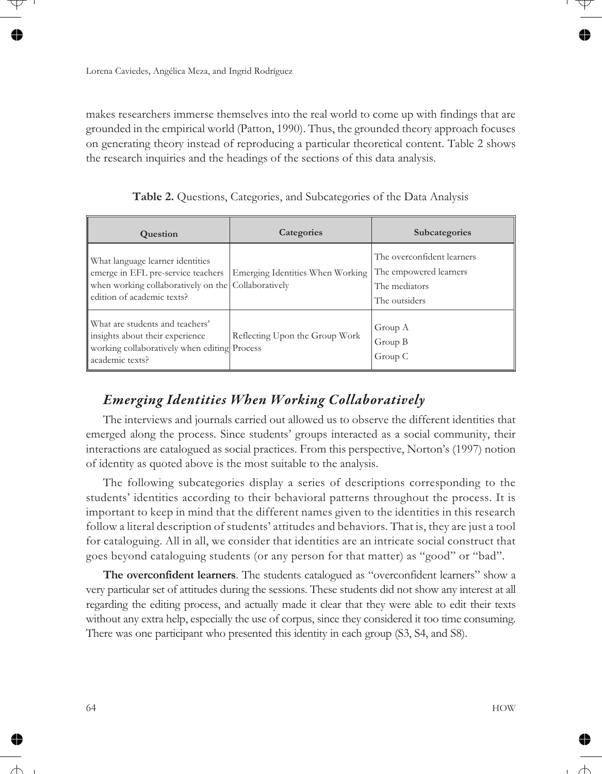makes researchers immerse themselves into the real world to come up with findings that are grounded in the empirical world (Patton, 1990). Thus, the grounded theory approach focuses on generating theory instead of reproducing a particular theoretical content. Table 2 shows the research inquiries and the headings of the sections of this data analysis.

| Table 2. Questions, Categories, and Subcategories of the Data Analysis |  |  |  |  |
|------------------------------------------------------------------------|--|--|--|--|
|------------------------------------------------------------------------|--|--|--|--|

| <b>Question</b>                                                                                                                                             | Categories                       | Subcategories                                                                          |
|-------------------------------------------------------------------------------------------------------------------------------------------------------------|----------------------------------|----------------------------------------------------------------------------------------|
| What language learner identities<br>emerge in EFL pre-service teachers<br>when working collaboratively on the Collaboratively<br>edition of academic texts? | Emerging Identities When Working | The overconfident learners<br>The empowered learners<br>The mediators<br>The outsiders |
| What are students and teachers'<br>insights about their experience<br>working collaboratively when editing Process<br>academic texts?                       | Reflecting Upon the Group Work   | Group A<br>Group B<br>Group C                                                          |

## *Emerging Identities When Working Collaboratively*

The interviews and journals carried out allowed us to observe the different identities that emerged along the process. Since students' groups interacted as a social community, their interactions are catalogued as social practices. From this perspective, Norton's (1997) notion of identity as quoted above is the most suitable to the analysis.

The following subcategories display a series of descriptions corresponding to the students' identities according to their behavioral patterns throughout the process. It is important to keep in mind that the different names given to the identities in this research follow a literal description of students' attitudes and behaviors. That is, they are just a tool for cataloguing. All in all, we consider that identities are an intricate social construct that goes beyond cataloguing students (or any person for that matter) as "good" or "bad".

**The overconfident learners**. The students catalogued as "overconfident learners" show a very particular set of attitudes during the sessions. These students did not show any interest at all regarding the editing process, and actually made it clear that they were able to edit their texts without any extra help, especially the use of corpus, since they considered it too time consuming. There was one participant who presented this identity in each group (S3, S4, and S8).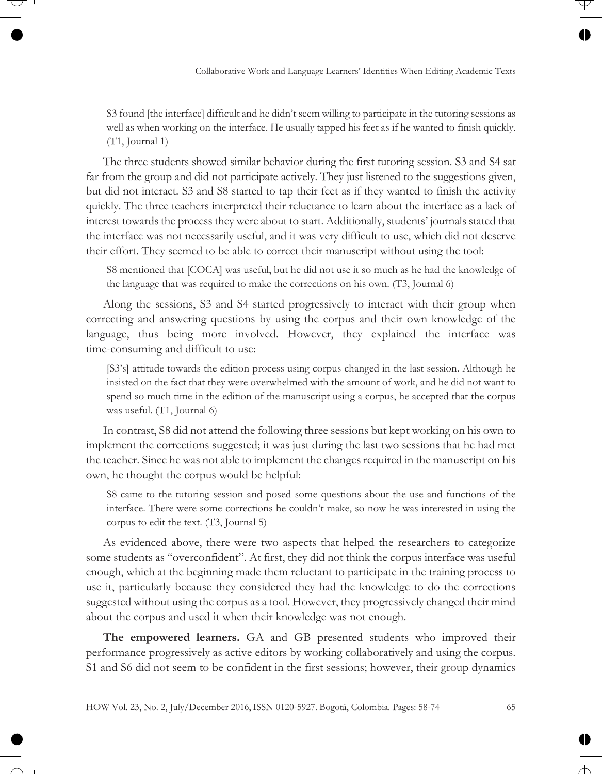S3 found [the interface] difficult and he didn't seem willing to participate in the tutoring sessions as well as when working on the interface. He usually tapped his feet as if he wanted to finish quickly. (T1, Journal 1)

The three students showed similar behavior during the first tutoring session. S3 and S4 sat far from the group and did not participate actively. They just listened to the suggestions given, but did not interact. S3 and S8 started to tap their feet as if they wanted to finish the activity quickly. The three teachers interpreted their reluctance to learn about the interface as a lack of interest towards the process they were about to start. Additionally, students' journals stated that the interface was not necessarily useful, and it was very difficult to use, which did not deserve their effort. They seemed to be able to correct their manuscript without using the tool:

S8 mentioned that [COCA] was useful, but he did not use it so much as he had the knowledge of the language that was required to make the corrections on his own. (T3, Journal 6)

Along the sessions, S3 and S4 started progressively to interact with their group when correcting and answering questions by using the corpus and their own knowledge of the language, thus being more involved. However, they explained the interface was time-consuming and difficult to use:

[S3's] attitude towards the edition process using corpus changed in the last session. Although he insisted on the fact that they were overwhelmed with the amount of work, and he did not want to spend so much time in the edition of the manuscript using a corpus, he accepted that the corpus was useful. (T1, Journal 6)

In contrast, S8 did not attend the following three sessions but kept working on his own to implement the corrections suggested; it was just during the last two sessions that he had met the teacher. Since he was not able to implement the changes required in the manuscript on his own, he thought the corpus would be helpful:

S8 came to the tutoring session and posed some questions about the use and functions of the interface. There were some corrections he couldn't make, so now he was interested in using the corpus to edit the text. (T3, Journal 5)

As evidenced above, there were two aspects that helped the researchers to categorize some students as "overconfident". At first, they did not think the corpus interface was useful enough, which at the beginning made them reluctant to participate in the training process to use it, particularly because they considered they had the knowledge to do the corrections suggested without using the corpus as a tool. However, they progressively changed their mind about the corpus and used it when their knowledge was not enough.

**The empowered learners.** GA and GB presented students who improved their performance progressively as active editors by working collaboratively and using the corpus. S1 and S6 did not seem to be confident in the first sessions; however, their group dynamics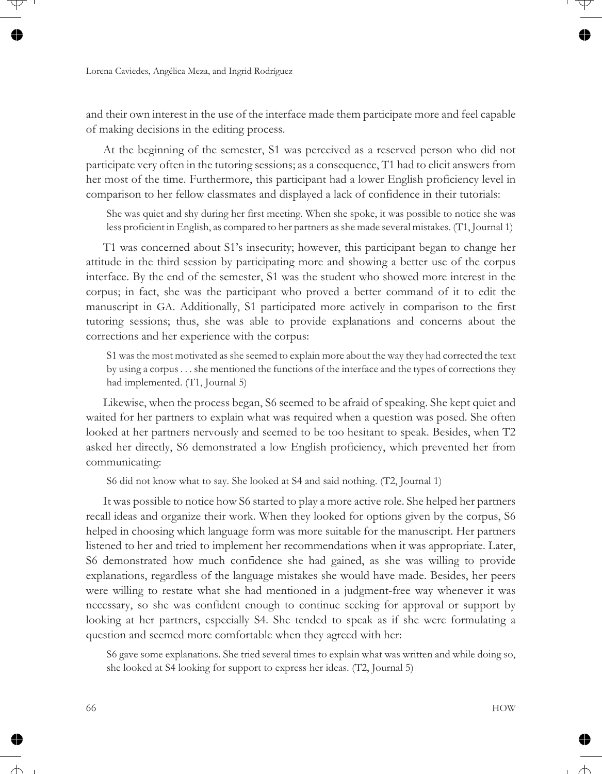and their own interest in the use of the interface made them participate more and feel capable of making decisions in the editing process.

At the beginning of the semester, S1 was perceived as a reserved person who did not participate very often in the tutoring sessions; as a consequence, T1 had to elicit answers from her most of the time. Furthermore, this participant had a lower English proficiency level in comparison to her fellow classmates and displayed a lack of confidence in their tutorials:

She was quiet and shy during her first meeting. When she spoke, it was possible to notice she was less proficient in English, as compared to her partners as she made several mistakes. (T1, Journal 1)

T1 was concerned about S1's insecurity; however, this participant began to change her attitude in the third session by participating more and showing a better use of the corpus interface. By the end of the semester, S1 was the student who showed more interest in the corpus; in fact, she was the participant who proved a better command of it to edit the manuscript in GA. Additionally, S1 participated more actively in comparison to the first tutoring sessions; thus, she was able to provide explanations and concerns about the corrections and her experience with the corpus:

S1 was the most motivated as she seemed to explain more about the way they had corrected the text by using a corpus . . . she mentioned the functions of the interface and the types of corrections they had implemented. (T1, Journal 5)

Likewise, when the process began, S6 seemed to be afraid of speaking. She kept quiet and waited for her partners to explain what was required when a question was posed. She often looked at her partners nervously and seemed to be too hesitant to speak. Besides, when T2 asked her directly, S6 demonstrated a low English proficiency, which prevented her from communicating:

S6 did not know what to say. She looked at S4 and said nothing. (T2, Journal 1)

It was possible to notice how S6 started to play a more active role. She helped her partners recall ideas and organize their work. When they looked for options given by the corpus, S6 helped in choosing which language form was more suitable for the manuscript. Her partners listened to her and tried to implement her recommendations when it was appropriate. Later, S6 demonstrated how much confidence she had gained, as she was willing to provide explanations, regardless of the language mistakes she would have made. Besides, her peers were willing to restate what she had mentioned in a judgment-free way whenever it was necessary, so she was confident enough to continue seeking for approval or support by looking at her partners, especially S4. She tended to speak as if she were formulating a question and seemed more comfortable when they agreed with her:

S6 gave some explanations. She tried several times to explain what was written and while doing so, she looked at S4 looking for support to express her ideas. (T2, Journal 5)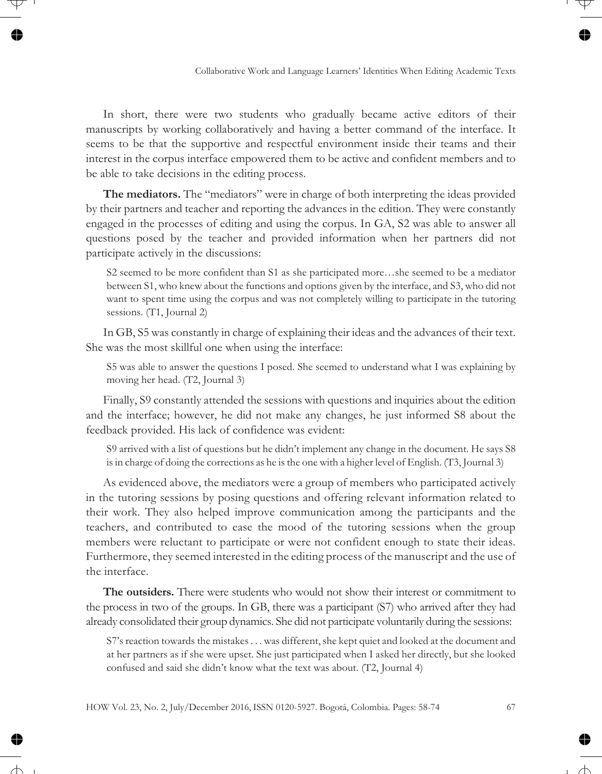In short, there were two students who gradually became active editors of their manuscripts by working collaboratively and having a better command of the interface. It seems to be that the supportive and respectful environment inside their teams and their interest in the corpus interface empowered them to be active and confident members and to be able to take decisions in the editing process.

**The mediators.** The "mediators" were in charge of both interpreting the ideas provided by their partners and teacher and reporting the advances in the edition. They were constantly engaged in the processes of editing and using the corpus. In GA, S2 was able to answer all questions posed by the teacher and provided information when her partners did not participate actively in the discussions:

S2 seemed to be more confident than S1 as she participated more…she seemed to be a mediator between S1, who knew about the functions and options given by the interface, and S3, who did not want to spent time using the corpus and was not completely willing to participate in the tutoring sessions. (T1, Journal 2)

In GB, S5 was constantly in charge of explaining their ideas and the advances of their text. She was the most skillful one when using the interface:

S5 was able to answer the questions I posed. She seemed to understand what I was explaining by moving her head. (T2, Journal 3)

Finally, S9 constantly attended the sessions with questions and inquiries about the edition and the interface; however, he did not make any changes, he just informed S8 about the feedback provided. His lack of confidence was evident:

S9 arrived with a list of questions but he didn't implement any change in the document. He says S8 is in charge of doing the corrections as he is the one with a higher level of English. (T3, Journal 3)

As evidenced above, the mediators were a group of members who participated actively in the tutoring sessions by posing questions and offering relevant information related to their work. They also helped improve communication among the participants and the teachers, and contributed to ease the mood of the tutoring sessions when the group members were reluctant to participate or were not confident enough to state their ideas. Furthermore, they seemed interested in the editing process of the manuscript and the use of the interface.

**The outsiders.** There were students who would not show their interest or commitment to the process in two of the groups. In GB, there was a participant (S7) who arrived after they had already consolidated their group dynamics. She did not participate voluntarily during the sessions:

S7's reaction towards the mistakes . . . was different, she kept quiet and looked at the document and at her partners as if she were upset. She just participated when I asked her directly, but she looked confused and said she didn't know what the text was about. (T2, Journal 4)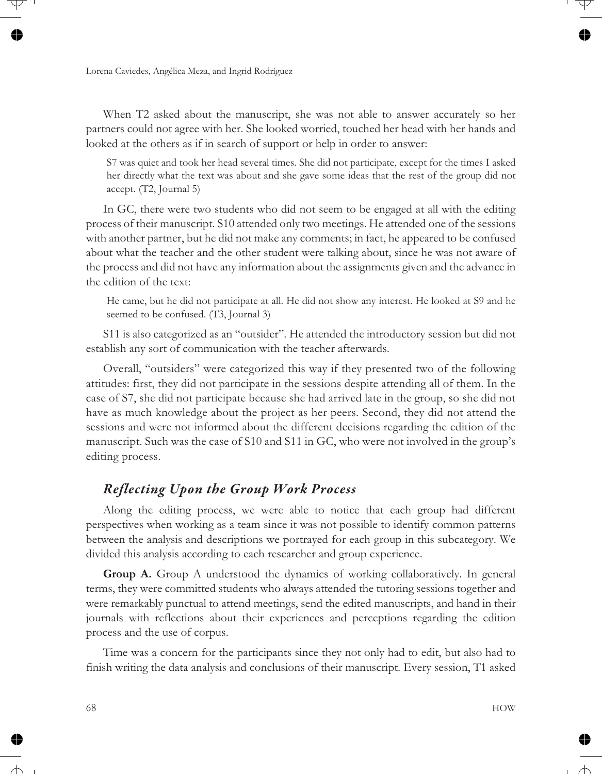When T2 asked about the manuscript, she was not able to answer accurately so her partners could not agree with her. She looked worried, touched her head with her hands and looked at the others as if in search of support or help in order to answer:

S7 was quiet and took her head several times. She did not participate, except for the times I asked her directly what the text was about and she gave some ideas that the rest of the group did not accept. (T2, Journal 5)

In GC, there were two students who did not seem to be engaged at all with the editing process of their manuscript. S10 attended only two meetings. He attended one of the sessions with another partner, but he did not make any comments; in fact, he appeared to be confused about what the teacher and the other student were talking about, since he was not aware of the process and did not have any information about the assignments given and the advance in the edition of the text:

He came, but he did not participate at all. He did not show any interest. He looked at S9 and he seemed to be confused. (T3, Journal 3)

S11 is also categorized as an "outsider". He attended the introductory session but did not establish any sort of communication with the teacher afterwards.

Overall, "outsiders" were categorized this way if they presented two of the following attitudes: first, they did not participate in the sessions despite attending all of them. In the case of S7, she did not participate because she had arrived late in the group, so she did not have as much knowledge about the project as her peers. Second, they did not attend the sessions and were not informed about the different decisions regarding the edition of the manuscript. Such was the case of S10 and S11 in GC, who were not involved in the group's editing process.

### *Reflecting Upon the Group Work Process*

Along the editing process, we were able to notice that each group had different perspectives when working as a team since it was not possible to identify common patterns between the analysis and descriptions we portrayed for each group in this subcategory. We divided this analysis according to each researcher and group experience.

**Group A.** Group A understood the dynamics of working collaboratively. In general terms, they were committed students who always attended the tutoring sessions together and were remarkably punctual to attend meetings, send the edited manuscripts, and hand in their journals with reflections about their experiences and perceptions regarding the edition process and the use of corpus.

Time was a concern for the participants since they not only had to edit, but also had to finish writing the data analysis and conclusions of their manuscript. Every session, T1 asked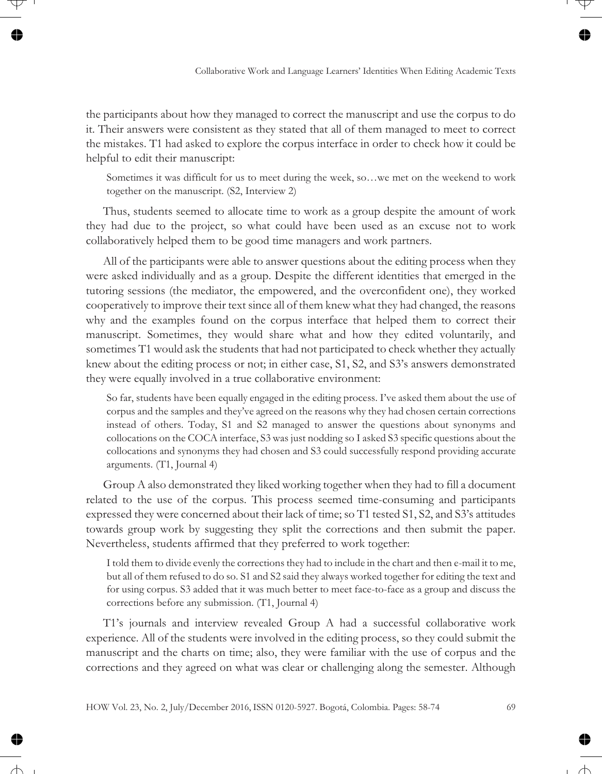the participants about how they managed to correct the manuscript and use the corpus to do it. Their answers were consistent as they stated that all of them managed to meet to correct the mistakes. T1 had asked to explore the corpus interface in order to check how it could be helpful to edit their manuscript:

Sometimes it was difficult for us to meet during the week, so…we met on the weekend to work together on the manuscript. (S2, Interview 2)

Thus, students seemed to allocate time to work as a group despite the amount of work they had due to the project, so what could have been used as an excuse not to work collaboratively helped them to be good time managers and work partners.

All of the participants were able to answer questions about the editing process when they were asked individually and as a group. Despite the different identities that emerged in the tutoring sessions (the mediator, the empowered, and the overconfident one), they worked cooperatively to improve their text since all of them knew what they had changed, the reasons why and the examples found on the corpus interface that helped them to correct their manuscript. Sometimes, they would share what and how they edited voluntarily, and sometimes T1 would ask the students that had not participated to check whether they actually knew about the editing process or not; in either case, S1, S2, and S3's answers demonstrated they were equally involved in a true collaborative environment:

So far, students have been equally engaged in the editing process. I've asked them about the use of corpus and the samples and they've agreed on the reasons why they had chosen certain corrections instead of others. Today, S1 and S2 managed to answer the questions about synonyms and collocations on the COCA interface, S3 was just nodding so I asked S3 specific questions about the collocations and synonyms they had chosen and S3 could successfully respond providing accurate arguments. (T1, Journal 4)

Group A also demonstrated they liked working together when they had to fill a document related to the use of the corpus. This process seemed time-consuming and participants expressed they were concerned about their lack of time; so T1 tested S1, S2, and S3's attitudes towards group work by suggesting they split the corrections and then submit the paper. Nevertheless, students affirmed that they preferred to work together:

I told them to divide evenly the corrections they had to include in the chart and then e-mail it to me, but all of them refused to do so. S1 and S2 said they always worked together for editing the text and for using corpus. S3 added that it was much better to meet face-to-face as a group and discuss the corrections before any submission. (T1, Journal 4)

T1's journals and interview revealed Group A had a successful collaborative work experience. All of the students were involved in the editing process, so they could submit the manuscript and the charts on time; also, they were familiar with the use of corpus and the corrections and they agreed on what was clear or challenging along the semester. Although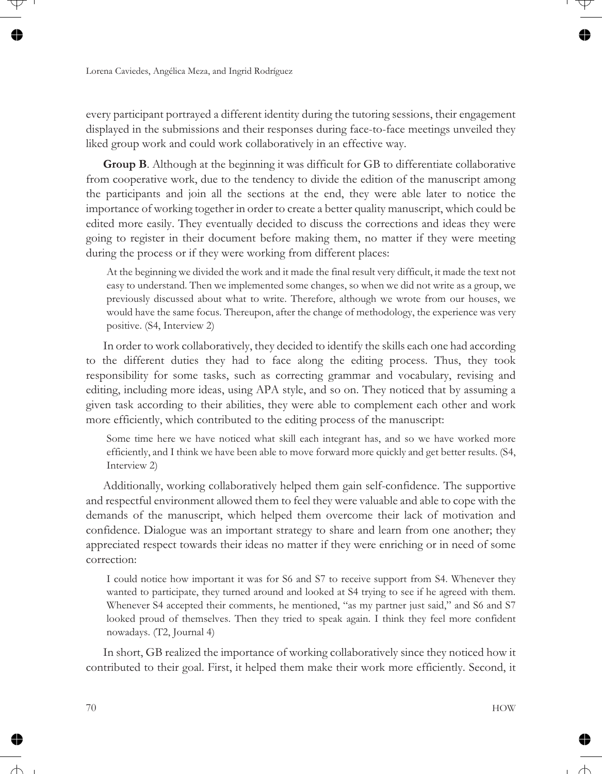every participant portrayed a different identity during the tutoring sessions, their engagement displayed in the submissions and their responses during face-to-face meetings unveiled they liked group work and could work collaboratively in an effective way.

**Group B**. Although at the beginning it was difficult for GB to differentiate collaborative from cooperative work, due to the tendency to divide the edition of the manuscript among the participants and join all the sections at the end, they were able later to notice the importance of working together in order to create a better quality manuscript, which could be edited more easily. They eventually decided to discuss the corrections and ideas they were going to register in their document before making them, no matter if they were meeting during the process or if they were working from different places:

At the beginning we divided the work and it made the final result very difficult, it made the text not easy to understand. Then we implemented some changes, so when we did not write as a group, we previously discussed about what to write. Therefore, although we wrote from our houses, we would have the same focus. Thereupon, after the change of methodology, the experience was very positive. (S4, Interview 2)

In order to work collaboratively, they decided to identify the skills each one had according to the different duties they had to face along the editing process. Thus, they took responsibility for some tasks, such as correcting grammar and vocabulary, revising and editing, including more ideas, using APA style, and so on. They noticed that by assuming a given task according to their abilities, they were able to complement each other and work more efficiently, which contributed to the editing process of the manuscript:

Some time here we have noticed what skill each integrant has, and so we have worked more efficiently, and I think we have been able to move forward more quickly and get better results. (S4, Interview 2)

Additionally, working collaboratively helped them gain self-confidence. The supportive and respectful environment allowed them to feel they were valuable and able to cope with the demands of the manuscript, which helped them overcome their lack of motivation and confidence. Dialogue was an important strategy to share and learn from one another; they appreciated respect towards their ideas no matter if they were enriching or in need of some correction:

I could notice how important it was for S6 and S7 to receive support from S4. Whenever they wanted to participate, they turned around and looked at S4 trying to see if he agreed with them. Whenever S4 accepted their comments, he mentioned, "as my partner just said," and S6 and S7 looked proud of themselves. Then they tried to speak again. I think they feel more confident nowadays. (T2, Journal 4)

In short, GB realized the importance of working collaboratively since they noticed how it contributed to their goal. First, it helped them make their work more efficiently. Second, it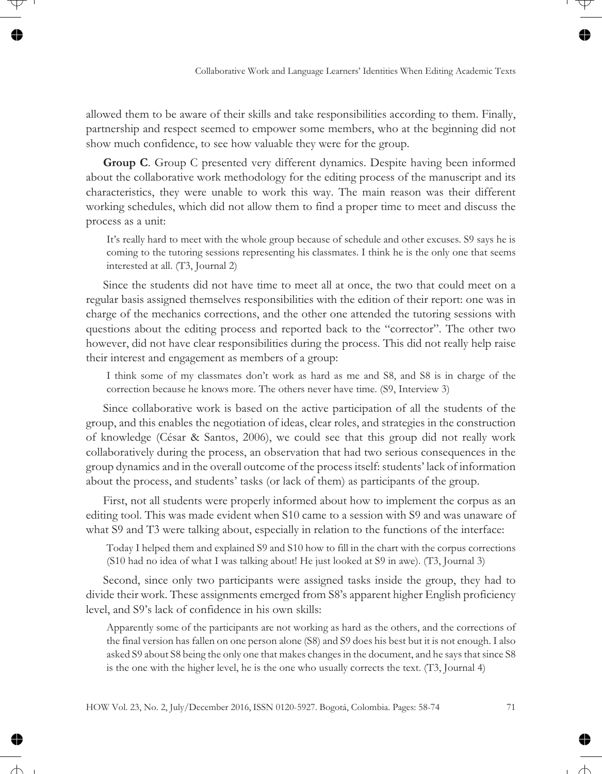allowed them to be aware of their skills and take responsibilities according to them. Finally, partnership and respect seemed to empower some members, who at the beginning did not show much confidence, to see how valuable they were for the group.

**Group C**. Group C presented very different dynamics. Despite having been informed about the collaborative work methodology for the editing process of the manuscript and its characteristics, they were unable to work this way. The main reason was their different working schedules, which did not allow them to find a proper time to meet and discuss the process as a unit:

It's really hard to meet with the whole group because of schedule and other excuses. S9 says he is coming to the tutoring sessions representing his classmates. I think he is the only one that seems interested at all. (T3, Journal 2)

Since the students did not have time to meet all at once, the two that could meet on a regular basis assigned themselves responsibilities with the edition of their report: one was in charge of the mechanics corrections, and the other one attended the tutoring sessions with questions about the editing process and reported back to the "corrector". The other two however, did not have clear responsibilities during the process. This did not really help raise their interest and engagement as members of a group:

I think some of my classmates don't work as hard as me and S8, and S8 is in charge of the correction because he knows more. The others never have time. (S9, Interview 3)

Since collaborative work is based on the active participation of all the students of the group, and this enables the negotiation of ideas, clear roles, and strategies in the construction of knowledge (César & Santos, 2006), we could see that this group did not really work collaboratively during the process, an observation that had two serious consequences in the group dynamics and in the overall outcome of the process itself: students' lack of information about the process, and students' tasks (or lack of them) as participants of the group.

First, not all students were properly informed about how to implement the corpus as an editing tool. This was made evident when S10 came to a session with S9 and was unaware of what S9 and T3 were talking about, especially in relation to the functions of the interface:

Today I helped them and explained S9 and S10 how to fill in the chart with the corpus corrections (S10 had no idea of what I was talking about! He just looked at S9 in awe). (T3, Journal 3)

Second, since only two participants were assigned tasks inside the group, they had to divide their work. These assignments emerged from S8's apparent higher English proficiency level, and S9's lack of confidence in his own skills:

Apparently some of the participants are not working as hard as the others, and the corrections of the final version has fallen on one person alone (S8) and S9 does his best but it is not enough. I also asked S9 about S8 being the only one that makes changes in the document, and he says that since S8 is the one with the higher level, he is the one who usually corrects the text. (T3, Journal 4)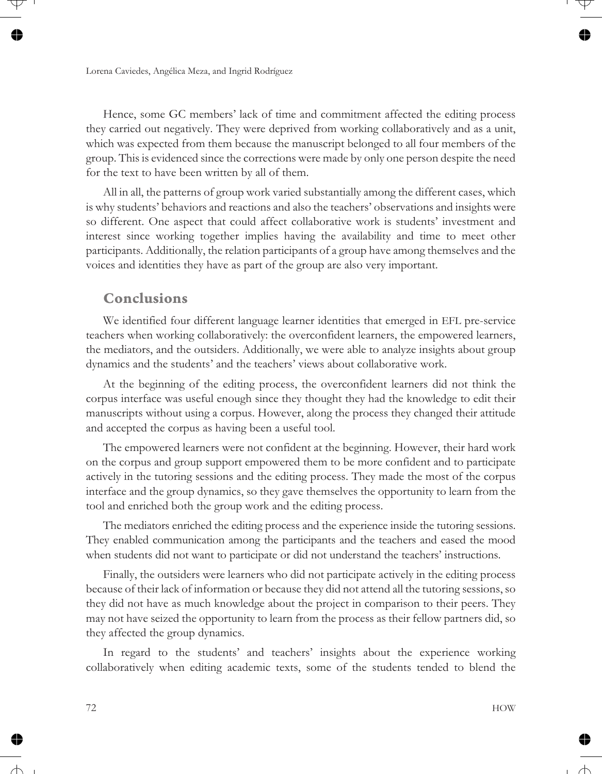Hence, some GC members' lack of time and commitment affected the editing process they carried out negatively. They were deprived from working collaboratively and as a unit, which was expected from them because the manuscript belonged to all four members of the group. This is evidenced since the corrections were made by only one person despite the need for the text to have been written by all of them.

All in all, the patterns of group work varied substantially among the different cases, which is why students' behaviors and reactions and also the teachers' observations and insights were so different. One aspect that could affect collaborative work is students' investment and interest since working together implies having the availability and time to meet other participants. Additionally, the relation participants of a group have among themselves and the voices and identities they have as part of the group are also very important.

#### **Conclusions**

We identified four different language learner identities that emerged in EFL pre-service teachers when working collaboratively: the overconfident learners, the empowered learners, the mediators, and the outsiders. Additionally, we were able to analyze insights about group dynamics and the students' and the teachers' views about collaborative work.

At the beginning of the editing process, the overconfident learners did not think the corpus interface was useful enough since they thought they had the knowledge to edit their manuscripts without using a corpus. However, along the process they changed their attitude and accepted the corpus as having been a useful tool.

The empowered learners were not confident at the beginning. However, their hard work on the corpus and group support empowered them to be more confident and to participate actively in the tutoring sessions and the editing process. They made the most of the corpus interface and the group dynamics, so they gave themselves the opportunity to learn from the tool and enriched both the group work and the editing process.

The mediators enriched the editing process and the experience inside the tutoring sessions. They enabled communication among the participants and the teachers and eased the mood when students did not want to participate or did not understand the teachers' instructions.

Finally, the outsiders were learners who did not participate actively in the editing process because of their lack of information or because they did not attend all the tutoring sessions, so they did not have as much knowledge about the project in comparison to their peers. They may not have seized the opportunity to learn from the process as their fellow partners did, so they affected the group dynamics.

In regard to the students' and teachers' insights about the experience working collaboratively when editing academic texts, some of the students tended to blend the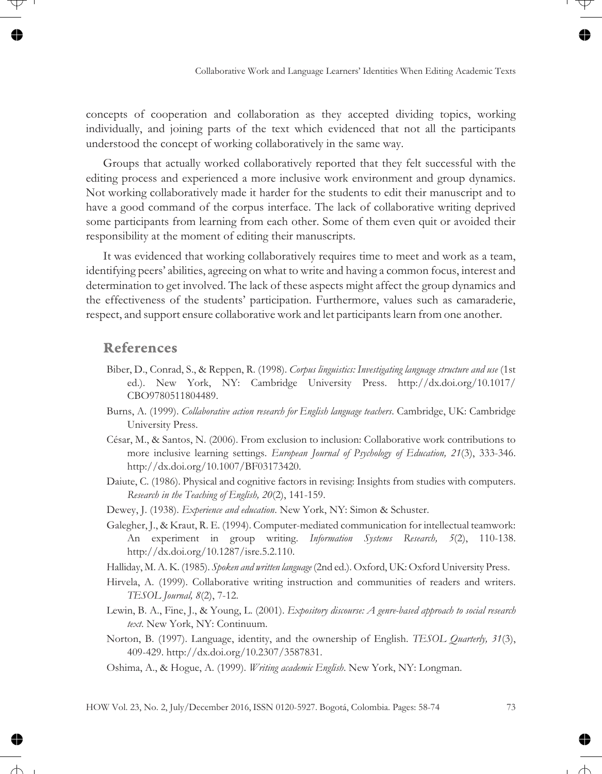concepts of cooperation and collaboration as they accepted dividing topics, working individually, and joining parts of the text which evidenced that not all the participants understood the concept of working collaboratively in the same way.

Groups that actually worked collaboratively reported that they felt successful with the editing process and experienced a more inclusive work environment and group dynamics. Not working collaboratively made it harder for the students to edit their manuscript and to have a good command of the corpus interface. The lack of collaborative writing deprived some participants from learning from each other. Some of them even quit or avoided their responsibility at the moment of editing their manuscripts.

It was evidenced that working collaboratively requires time to meet and work as a team, identifying peers' abilities, agreeing on what to write and having a common focus, interest and determination to get involved. The lack of these aspects might affect the group dynamics and the effectiveness of the students' participation. Furthermore, values such as camaraderie, respect, and support ensure collaborative work and let participants learn from one another.

#### **References**

- Biber, D., Conrad, S., & Reppen, R. (1998). *Corpus linguistics: Investigating language structure and use* (1st ed.). New York, NY: Cambridge University Press. http://dx.doi.org/10.1017/ CBO9780511804489.
- Burns, A. (1999). *Collaborative action research for English language teachers*. Cambridge, UK: Cambridge University Press.
- César, M., & Santos, N. (2006). From exclusion to inclusion: Collaborative work contributions to more inclusive learning settings. *European Journal of Psychology of Education, 21*(3), 333-346. http://dx.doi.org/10.1007/BF03173420.
- Daiute, C. (1986). Physical and cognitive factors in revising: Insights from studies with computers. *Research in the Teaching of English, 20*(2), 141-159.
- Dewey, J. (1938). *Experience and education*. New York, NY: Simon & Schuster.
- Galegher, J., & Kraut, R. E. (1994). Computer-mediated communication for intellectual teamwork: An experiment in group writing. *Information Systems Research, 5*(2), 110-138. http://dx.doi.org/10.1287/isre.5.2.110.
- Halliday, M. A. K. (1985). *Spoken and written language* (2nd ed.). Oxford, UK: Oxford University Press.
- Hirvela, A. (1999). Collaborative writing instruction and communities of readers and writers. *TESOL Journal, 8*(2), 7-12.
- Lewin, B. A., Fine, J., & Young, L. (2001). *Expository discourse: A genre-based approach to social research text*. New York, NY: Continuum.
- Norton, B. (1997). Language, identity, and the ownership of English. *TESOL Quarterly, 31*(3), 409-429. http://dx.doi.org/10.2307/3587831.
- Oshima, A., & Hogue, A. (1999). *Writing academic English*. New York, NY: Longman.